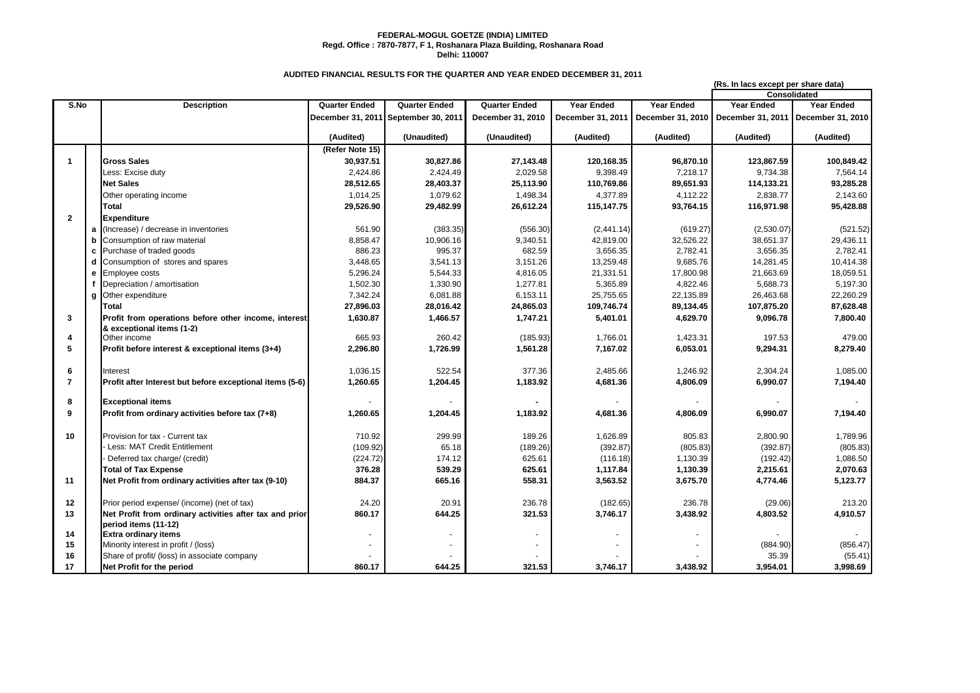## **FEDERAL-MOGUL GOETZE (INDIA) LIMITED Regd. Office : 7870-7877, F 1, Roshanara Plaza Building, Roshanara Road Delhi: 110007**

## **AUDITED FINANCIAL RESULTS FOR THE QUARTER AND YEAR ENDED DECEMBER 31, 2011**

|                |   |                                                          |                      |                                      |                      |                   |                   | (Rs. In lacs except per share data) |                                       |  |  |
|----------------|---|----------------------------------------------------------|----------------------|--------------------------------------|----------------------|-------------------|-------------------|-------------------------------------|---------------------------------------|--|--|
|                |   |                                                          |                      |                                      |                      |                   |                   | Consolidated                        |                                       |  |  |
| S.No           |   | <b>Description</b>                                       | <b>Quarter Ended</b> | <b>Quarter Ended</b>                 | <b>Quarter Ended</b> | Year Ended        | <b>Year Ended</b> | Year Ended                          | Year Ended                            |  |  |
|                |   |                                                          |                      | December 31, 2011 September 30, 2011 | December 31, 2010    | December 31, 2011 | December 31, 2010 |                                     | December 31, 2011   December 31, 2010 |  |  |
|                |   |                                                          | (Audited)            | (Unaudited)                          | (Unaudited)          | (Audited)         | (Audited)         | (Audited)                           | (Audited)                             |  |  |
|                |   |                                                          | (Refer Note 15)      |                                      |                      |                   |                   |                                     |                                       |  |  |
| 1              |   | <b>Gross Sales</b>                                       | 30,937.51            | 30,827.86                            | 27,143.48            | 120,168.35        | 96,870.10         | 123,867.59                          | 100,849.42                            |  |  |
|                |   | Less: Excise duty                                        | 2,424.86             | 2,424.49                             | 2,029.58             | 9,398.49          | 7,218.17          | 9,734.38                            | 7,564.14                              |  |  |
|                |   | <b>Net Sales</b>                                         | 28,512.65            | 28,403.37                            | 25,113.90            | 110,769.86        | 89,651.93         | 114,133.21                          | 93,285.28                             |  |  |
|                |   | Other operating income                                   | 1,014.25             | 1,079.62                             | 1,498.34             | 4,377.89          | 4,112.22          | 2,838.77                            | 2,143.60                              |  |  |
|                |   | Total                                                    | 29,526.90            | 29,482.99                            | 26,612.24            | 115,147.75        | 93,764.15         | 116,971.98                          | 95,428.88                             |  |  |
| $\overline{2}$ |   | <b>Expenditure</b>                                       |                      |                                      |                      |                   |                   |                                     |                                       |  |  |
|                | a | (Increase) / decrease in inventories                     | 561.90               | (383.35)                             | (556.30)             | (2, 441.14)       | (619.27)          | (2,530.07)                          | (521.52)                              |  |  |
|                | h | Consumption of raw material                              | 8,858.47             | 10,906.16                            | 9,340.51             | 42,819.00         | 32,526.22         | 38,651.37                           | 29,436.11                             |  |  |
|                | C | Purchase of traded goods                                 | 886.23               | 995.37                               | 682.59               | 3,656.35          | 2,782.41          | 3,656.35                            | 2,782.41                              |  |  |
|                | d | Consumption of stores and spares                         | 3,448.65             | 3,541.13                             | 3,151.26             | 13,259.48         | 9,685.76          | 14,281.45                           | 10,414.38                             |  |  |
|                | e | Employee costs                                           | 5,296.24             | 5,544.33                             | 4,816.05             | 21,331.51         | 17,800.98         | 21,663.69                           | 18,059.51                             |  |  |
|                |   | Depreciation / amortisation                              | 1,502.30             | 1,330.90                             | 1,277.81             | 5,365.89          | 4,822.46          | 5,688.73                            | 5,197.30                              |  |  |
|                | a | Other expenditure                                        | 7,342.24             | 6,081.88                             | 6,153.11             | 25,755.65         | 22,135.89         | 26,463.68                           | 22,260.29                             |  |  |
|                |   | Total                                                    | 27,896.03            | 28,016.42                            | 24,865.03            | 109,746.74        | 89,134.45         | 107,875.20                          | 87,628.48                             |  |  |
| 3              |   | Profit from operations before other income, interest     | 1,630.87             | 1,466.57                             | 1,747.21             | 5,401.01          | 4,629.70          | 9,096.78                            | 7,800.40                              |  |  |
|                |   | & exceptional items (1-2)                                |                      |                                      |                      |                   |                   |                                     |                                       |  |  |
| 4              |   | Other income                                             | 665.93               | 260.42                               | (185.93)             | 1,766.01          | 1,423.31          | 197.53                              | 479.00                                |  |  |
| 5              |   | Profit before interest & exceptional items (3+4)         | 2,296.80             | 1,726.99                             | 1,561.28             | 7,167.02          | 6,053.01          | 9,294.31                            | 8,279.40                              |  |  |
| 6              |   | Interest                                                 | 1,036.15             | 522.54                               | 377.36               | 2,485.66          | 1,246.92          | 2,304.24                            | 1,085.00                              |  |  |
| $\overline{7}$ |   | Profit after Interest but before exceptional items (5-6) | 1,260.65             | 1,204.45                             | 1,183.92             | 4,681.36          | 4,806.09          | 6,990.07                            | 7,194.40                              |  |  |
|                |   |                                                          |                      |                                      |                      |                   |                   |                                     |                                       |  |  |
| 8              |   | <b>Exceptional items</b>                                 |                      |                                      |                      |                   |                   |                                     |                                       |  |  |
| 9              |   | Profit from ordinary activities before tax (7+8)         | 1,260.65             | 1,204.45                             | 1,183.92             | 4,681.36          | 4,806.09          | 6,990.07                            | 7,194.40                              |  |  |
| 10             |   | Provision for tax - Current tax                          | 710.92               | 299.99                               | 189.26               | 1,626.89          | 805.83            | 2,800.90                            | 1,789.96                              |  |  |
|                |   | Less: MAT Credit Entitlement                             | (109.92)             | 65.18                                | (189.26)             | (392.87)          | (805.83)          | (392.87)                            | (805.83)                              |  |  |
|                |   | Deferred tax charge/ (credit)                            | (224.72)             | 174.12                               | 625.61               | (116.18)          | 1,130.39          | (192.42)                            | 1,086.50                              |  |  |
|                |   | <b>Total of Tax Expense</b>                              | 376.28               | 539.29                               | 625.61               | 1,117.84          | 1,130.39          | 2,215.61                            | 2,070.63                              |  |  |
| 11             |   | Net Profit from ordinary activities after tax (9-10)     | 884.37               | 665.16                               | 558.31               | 3,563.52          | 3,675.70          | 4,774.46                            | 5,123.77                              |  |  |
|                |   |                                                          |                      |                                      |                      |                   |                   |                                     |                                       |  |  |
| 12             |   | Prior period expense/ (income) (net of tax)              | 24.20                | 20.91                                | 236.78               | (182.65)          | 236.78            | (29.06)                             | 213.20                                |  |  |
| 13             |   | Net Profit from ordinary activities after tax and prior  | 860.17               | 644.25                               | 321.53               | 3,746.17          | 3,438.92          | 4,803.52                            | 4,910.57                              |  |  |
|                |   | period items (11-12)                                     |                      |                                      |                      |                   |                   |                                     |                                       |  |  |
| 14             |   | <b>Extra ordinary items</b>                              |                      |                                      |                      |                   |                   |                                     |                                       |  |  |
| 15             |   | Minority interest in profit / (loss)                     |                      |                                      |                      |                   |                   | (884.90)                            | (856.47)                              |  |  |
| 16             |   | Share of profit/ (loss) in associate company             |                      |                                      |                      |                   |                   | 35.39                               | (55.41)                               |  |  |
| 17             |   | Net Profit for the period                                | 860.17               | 644.25                               | 321.53               | 3,746.17          | 3,438.92          | 3,954.01                            | 3,998.69                              |  |  |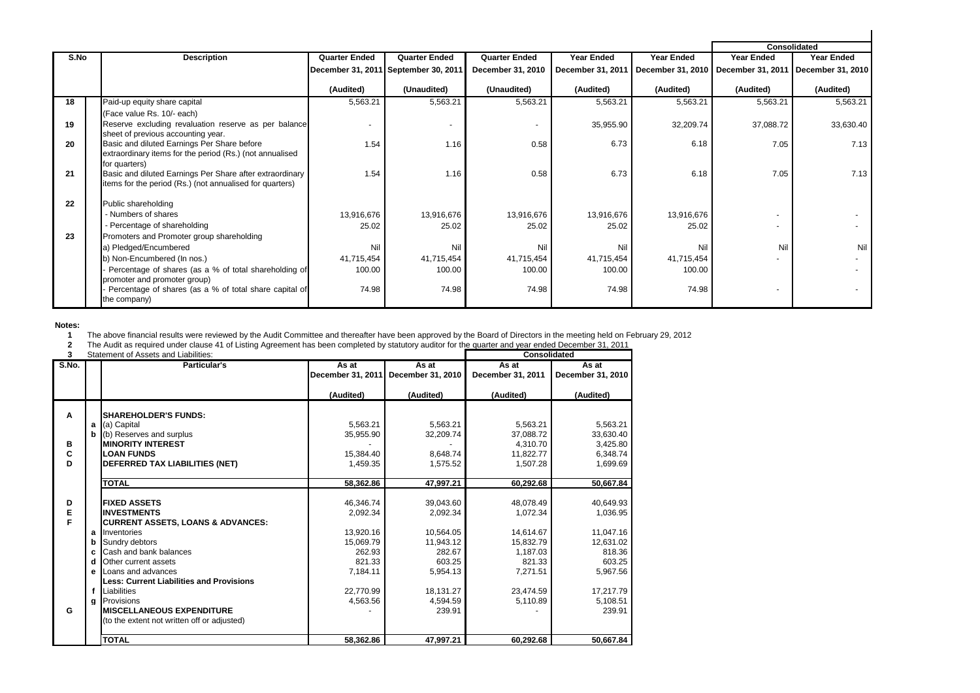| S.No | <b>Description</b>                                                        | <b>Quarter Ended</b> | <b>Quarter Ended</b>                 | <b>Quarter Ended</b> | <b>Year Ended</b> | <b>Year Ended</b>                     | Year Ended | <b>Consolidated</b><br>Year Ended |
|------|---------------------------------------------------------------------------|----------------------|--------------------------------------|----------------------|-------------------|---------------------------------------|------------|-----------------------------------|
|      |                                                                           |                      |                                      |                      |                   |                                       |            |                                   |
|      |                                                                           |                      | December 31, 2011 September 30, 2011 | December 31, 2010    | December 31, 2011 | December 31, 2010   December 31, 2011 |            | December 31, 2010                 |
|      |                                                                           | (Audited)            | (Unaudited)                          | (Unaudited)          | (Audited)         | (Audited)                             | (Audited)  | (Audited)                         |
| 18   | Paid-up equity share capital                                              | 5,563.21             | 5,563.21                             | 5,563.21             | 5,563.21          | 5,563.21                              | 5,563.21   | 5,563.21                          |
|      | (Face value Rs. 10/- each)                                                |                      |                                      |                      |                   |                                       |            |                                   |
| 19   | Reserve excluding revaluation reserve as per balance                      |                      | $\overline{a}$                       |                      | 35,955.90         | 32,209.74                             | 37,088.72  | 33,630.40                         |
|      | sheet of previous accounting year.                                        |                      |                                      |                      |                   |                                       |            |                                   |
| 20   | Basic and diluted Earnings Per Share before                               | 1.54                 | 1.16                                 | 0.58                 | 6.73              | 6.18                                  | 7.05       | 7.13                              |
|      | extraordinary items for the period (Rs.) (not annualised                  |                      |                                      |                      |                   |                                       |            |                                   |
| 21   | for quarters)<br>Basic and diluted Earnings Per Share after extraordinary | 1.54                 | 1.16                                 | 0.58                 | 6.73              | 6.18                                  | 7.05       | 7.13                              |
|      | items for the period (Rs.) (not annualised for quarters)                  |                      |                                      |                      |                   |                                       |            |                                   |
|      |                                                                           |                      |                                      |                      |                   |                                       |            |                                   |
| 22   | Public shareholding                                                       |                      |                                      |                      |                   |                                       |            |                                   |
|      | - Numbers of shares                                                       | 13,916,676           | 13,916,676                           | 13,916,676           | 13,916,676        | 13,916,676                            | $\sim$     |                                   |
|      | Percentage of shareholding                                                | 25.02                | 25.02                                | 25.02                | 25.02             | 25.02                                 |            |                                   |
| 23   | Promoters and Promoter group shareholding                                 |                      |                                      |                      |                   |                                       |            |                                   |
|      | a) Pledged/Encumbered                                                     | Nil                  | Nil                                  | Ni                   | Nil               | Nil                                   | Nil        | Nil                               |
|      | b) Non-Encumbered (In nos.)                                               | 41,715,454           | 41,715,454                           | 41,715,454           | 41,715,454        | 41,715,454                            |            |                                   |
|      | Percentage of shares (as a % of total shareholding of                     | 100.00               | 100.00                               | 100.00               | 100.00            | 100.00                                |            |                                   |
|      | promoter and promoter group)                                              |                      |                                      |                      |                   |                                       |            |                                   |
|      | Percentage of shares (as a % of total share capital of                    | 74.98                | 74.98                                | 74.98                | 74.98             | 74.98                                 |            |                                   |
|      | the company)                                                              |                      |                                      |                      |                   |                                       |            |                                   |

## **Notes:**

**1** The above financial results were reviewed by the Audit Committee and thereafter have been approved by the Board of Directors in the meeting held on February 29, 2012

**2** The Audit as required under clause 41 of Listing Agreement has been completed by statutory auditor for the quarter and year ended December 31, 2011

| 3     |    | Statement of Assets and Liabilities:            | <b>Consolidated</b> |                   |                   |                   |
|-------|----|-------------------------------------------------|---------------------|-------------------|-------------------|-------------------|
| S.No. |    | <b>Particular's</b>                             | As at               | As at             | As at             | As at             |
|       |    |                                                 | December 31, 2011   | December 31, 2010 | December 31, 2011 | December 31, 2010 |
|       |    |                                                 |                     |                   |                   |                   |
|       |    |                                                 | (Audited)           | (Audited)         | (Audited)         | (Audited)         |
|       |    |                                                 |                     |                   |                   |                   |
| A     |    | <b>SHAREHOLDER'S FUNDS:</b>                     |                     |                   |                   |                   |
|       | a  | (a) Capital                                     | 5.563.21            | 5.563.21          | 5.563.21          | 5,563.21          |
|       |    | (b) Reserves and surplus                        | 35,955.90           | 32,209.74         | 37,088.72         | 33,630.40         |
| в     |    | <b>MINORITY INTEREST</b>                        |                     |                   | 4,310.70          | 3,425.80          |
| C     |    | <b>LOAN FUNDS</b>                               | 15,384.40           | 8,648.74          | 11,822.77         | 6,348.74          |
| D     |    | DEFERRED TAX LIABILITIES (NET)                  | 1,459.35            | 1,575.52          | 1,507.28          | 1,699.69          |
|       |    |                                                 |                     |                   |                   |                   |
|       |    | <b>TOTAL</b>                                    | 58,362.86           | 47,997.21         | 60,292.68         | 50,667.84         |
|       |    |                                                 |                     |                   |                   |                   |
| D     |    | <b>FIXED ASSETS</b>                             | 46.346.74           | 39,043.60         | 48.078.49         | 40,649.93         |
| E     |    | <b>INVESTMENTS</b>                              | 2,092.34            | 2,092.34          | 1,072.34          | 1.036.95          |
| F     |    | <b>CURRENT ASSETS, LOANS &amp; ADVANCES:</b>    |                     |                   |                   |                   |
|       |    | a Inventories                                   | 13,920.16           | 10,564.05         | 14,614.67         | 11,047.16         |
|       | ьI | Sundry debtors                                  | 15.069.79           | 11.943.12         | 15.832.79         | 12.631.02         |
|       | c  | Cash and bank balances                          | 262.93              | 282.67            | 1,187.03          | 818.36            |
|       | d  | Other current assets                            | 821.33              | 603.25            | 821.33            | 603.25            |
|       | е  | Loans and advances                              | 7,184.11            | 5,954.13          | 7,271.51          | 5,967.56          |
|       |    | <b>Less: Current Liabilities and Provisions</b> |                     |                   |                   |                   |
|       |    | f Liabilities                                   | 22,770.99           | 18,131.27         | 23,474.59         | 17,217.79         |
|       | a  | Provisions                                      | 4,563.56            | 4,594.59          | 5,110.89          | 5,108.51          |
| G     |    | <b>MISCELLANEOUS EXPENDITURE</b>                |                     | 239.91            |                   | 239.91            |
|       |    | (to the extent not written off or adjusted)     |                     |                   |                   |                   |
|       |    |                                                 |                     |                   |                   |                   |
|       |    | <b>TOTAL</b>                                    | 58,362.86           | 47,997.21         | 60,292.68         | 50,667.84         |